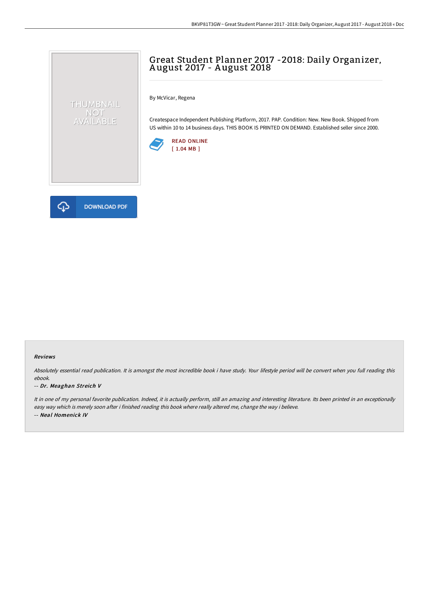## Great Student Planner 2017 -2018: Daily Organizer, A ugust 2017 - A ugust 2018

By McVicar, Regena

Createspace Independent Publishing Platform, 2017. PAP. Condition: New. New Book. Shipped from US within 10 to 14 business days. THIS BOOK IS PRINTED ON DEMAND. Established seller since 2000.





THUMBNAIL NOT<br>AVAILABLE

## Reviews

Absolutely essential read publication. It is amongst the most incredible book i have study. Your lifestyle period will be convert when you full reading this ebook.

## -- Dr. Meaghan Streich V

It in one of my personal favorite publication. Indeed, it is actually perform, still an amazing and interesting literature. Its been printed in an exceptionally easy way which is merely soon after i finished reading this book where really altered me, change the way i believe. -- Neal Homenick IV